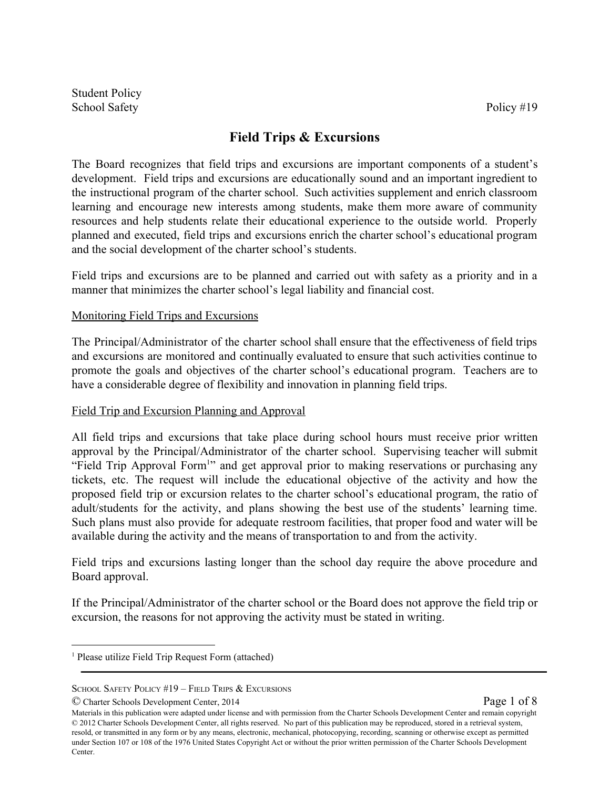# **Field Trips & Excursions**

The Board recognizes that field trips and excursions are important components of a student's development. Field trips and excursions are educationally sound and an important ingredient to the instructional program of the charter school. Such activities supplement and enrich classroom learning and encourage new interests among students, make them more aware of community resources and help students relate their educational experience to the outside world. Properly planned and executed, field trips and excursions enrich the charter school's educational program and the social development of the charter school's students.

Field trips and excursions are to be planned and carried out with safety as a priority and in a manner that minimizes the charter school's legal liability and financial cost.

## Monitoring Field Trips and Excursions

The Principal/Administrator of the charter school shall ensure that the effectiveness of field trips and excursions are monitored and continually evaluated to ensure that such activities continue to promote the goals and objectives of the charter school's educational program. Teachers are to have a considerable degree of flexibility and innovation in planning field trips.

#### Field Trip and Excursion Planning and Approval

All field trips and excursions that take place during school hours must receive prior written approval by the Principal/Administrator of the charter school. Supervising teacher will submit "Field Trip Approval Form<sup>1</sup>" and get approval prior to making reservations or purchasing any tickets, etc. The request will include the educational objective of the activity and how the proposed field trip or excursion relates to the charter school's educational program, the ratio of adult/students for the activity, and plans showing the best use of the students' learning time. Such plans must also provide for adequate restroom facilities, that proper food and water will be available during the activity and the means of transportation to and from the activity.

Field trips and excursions lasting longer than the school day require the above procedure and Board approval.

If the Principal/Administrator of the charter school or the Board does not approve the field trip or excursion, the reasons for not approving the activity must be stated in writing.

© Charter Schools Development Center, 2014 Page 1 of 8

Materials in this publication were adapted under license and with permission from the Charter Schools Development Center and remain copyright © 2012 Charter Schools Development Center, all rights reserved. No part of this publication may be reproduced, stored in a retrieval system, resold, or transmitted in any form or by any means, electronic, mechanical, photocopying, recording, scanning or otherwise except as permitted under Section 107 or 108 of the 1976 United States Copyright Act or without the prior written permission of the Charter Schools Development Center.

<sup>1</sup> Please utilize Field Trip Request Form (attached)

SCHOOL SAFETY POLICY #19 – FIELD TRIPS & EXCURSIONS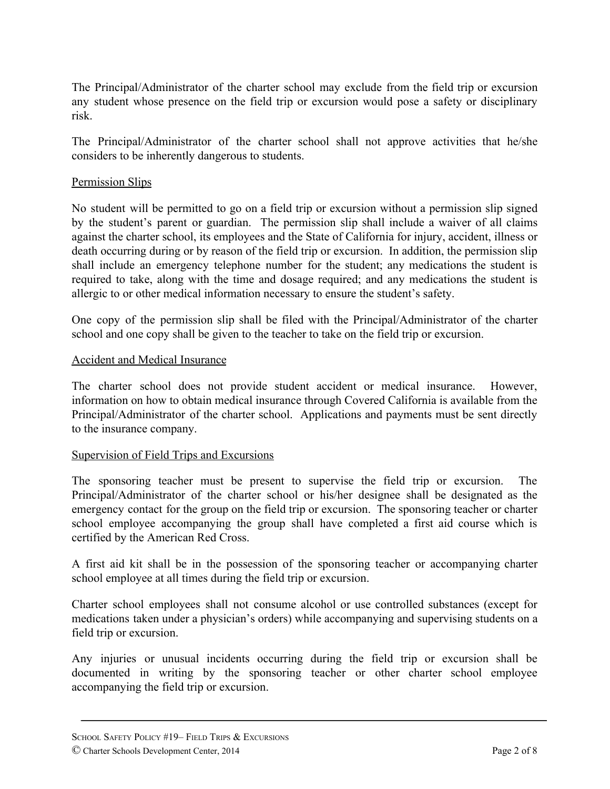The Principal/Administrator of the charter school may exclude from the field trip or excursion any student whose presence on the field trip or excursion would pose a safety or disciplinary risk.

The Principal/Administrator of the charter school shall not approve activities that he/she considers to be inherently dangerous to students.

## Permission Slips

No student will be permitted to go on a field trip or excursion without a permission slip signed by the student's parent or guardian. The permission slip shall include a waiver of all claims against the charter school, its employees and the State of California for injury, accident, illness or death occurring during or by reason of the field trip or excursion. In addition, the permission slip shall include an emergency telephone number for the student; any medications the student is required to take, along with the time and dosage required; and any medications the student is allergic to or other medical information necessary to ensure the student's safety.

One copy of the permission slip shall be filed with the Principal/Administrator of the charter school and one copy shall be given to the teacher to take on the field trip or excursion.

## Accident and Medical Insurance

The charter school does not provide student accident or medical insurance. However, information on how to obtain medical insurance through Covered California is available from the Principal/Administrator of the charter school. Applications and payments must be sent directly to the insurance company.

#### Supervision of Field Trips and Excursions

The sponsoring teacher must be present to supervise the field trip or excursion. The Principal/Administrator of the charter school or his/her designee shall be designated as the emergency contact for the group on the field trip or excursion. The sponsoring teacher or charter school employee accompanying the group shall have completed a first aid course which is certified by the American Red Cross.

A first aid kit shall be in the possession of the sponsoring teacher or accompanying charter school employee at all times during the field trip or excursion.

Charter school employees shall not consume alcohol or use controlled substances (except for medications taken under a physician's orders) while accompanying and supervising students on a field trip or excursion.

Any injuries or unusual incidents occurring during the field trip or excursion shall be documented in writing by the sponsoring teacher or other charter school employee accompanying the field trip or excursion.

SCHOOL SAFETY POLICY #19– FIELD TRIPS & EXCURSIONS © Charter Schools Development Center, 2014 Page 2 of 8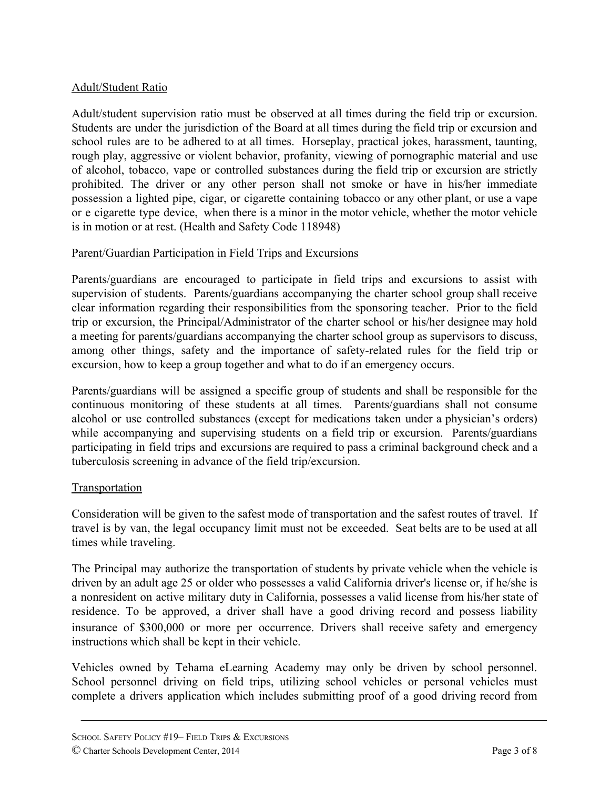## Adult/Student Ratio

Adult/student supervision ratio must be observed at all times during the field trip or excursion. Students are under the jurisdiction of the Board at all times during the field trip or excursion and school rules are to be adhered to at all times. Horseplay, practical jokes, harassment, taunting, rough play, aggressive or violent behavior, profanity, viewing of pornographic material and use of alcohol, tobacco, vape or controlled substances during the field trip or excursion are strictly prohibited. The driver or any other person shall not smoke or have in his/her immediate possession a lighted pipe, cigar, or cigarette containing tobacco or any other plant, or use a vape or e cigarette type device, when there is a minor in the motor vehicle, whether the motor vehicle is in motion or at rest. (Health and Safety Code 118948)

## Parent/Guardian Participation in Field Trips and Excursions

Parents/guardians are encouraged to participate in field trips and excursions to assist with supervision of students. Parents/guardians accompanying the charter school group shall receive clear information regarding their responsibilities from the sponsoring teacher. Prior to the field trip or excursion, the Principal/Administrator of the charter school or his/her designee may hold a meeting for parents/guardians accompanying the charter school group as supervisors to discuss, among other things, safety and the importance of safety-related rules for the field trip or excursion, how to keep a group together and what to do if an emergency occurs.

Parents/guardians will be assigned a specific group of students and shall be responsible for the continuous monitoring of these students at all times. Parents/guardians shall not consume alcohol or use controlled substances (except for medications taken under a physician's orders) while accompanying and supervising students on a field trip or excursion. Parents/guardians participating in field trips and excursions are required to pass a criminal background check and a tuberculosis screening in advance of the field trip/excursion.

# **Transportation**

Consideration will be given to the safest mode of transportation and the safest routes of travel. If travel is by van, the legal occupancy limit must not be exceeded. Seat belts are to be used at all times while traveling.

The Principal may authorize the transportation of students by private vehicle when the vehicle is driven by an adult age 25 or older who possesses a valid California driver's license or, if he/she is a nonresident on active military duty in California, possesses a valid license from his/her state of residence. To be approved, a driver shall have a good driving record and possess liability insurance of \$300,000 or more per occurrence. Drivers shall receive safety and emergency instructions which shall be kept in their vehicle.

Vehicles owned by Tehama eLearning Academy may only be driven by school personnel. School personnel driving on field trips, utilizing school vehicles or personal vehicles must complete a drivers application which includes submitting proof of a good driving record from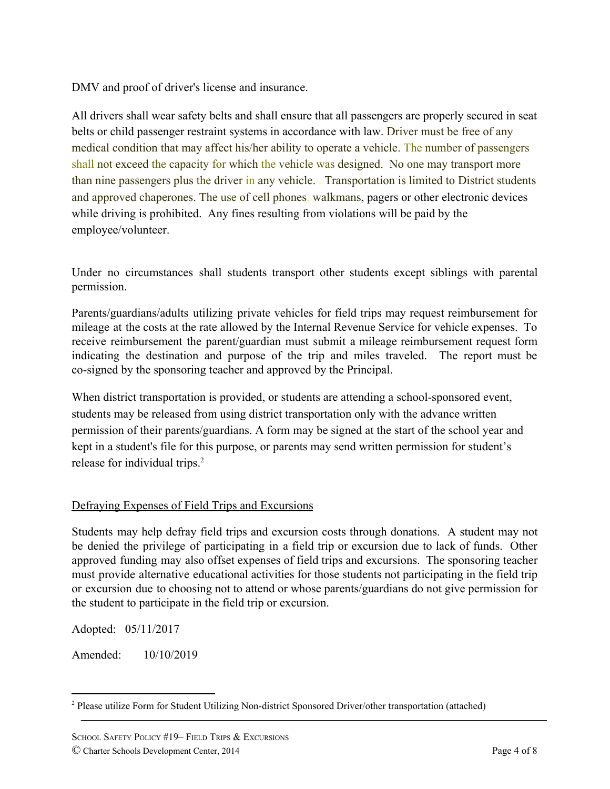DMV and proof of driver's license and insurance.

All drivers shall wear safety belts and shall ensure that all passengers are properly secured in seat belts or child passenger restraint systems in accordance with law. Driver must be free of any medical condition that may affect his/her ability to operate a vehicle. The number of passengers shall not exceed the capacity for which the vehicle was designed. No one may transport more than nine passengers plus the driver in any vehicle. . Transportation is limited to District students and approved chaperones. The use of cell phones, walkmans, pagers or other electronic devices while driving is prohibited. Any fines resulting from violations will be paid by the employee/volunteer.

Under no circumstances shall students transport other students except siblings with parental permission.

Parents/guardians/adults utilizing private vehicles for field trips may request reimbursement for mileage at the costs at the rate allowed by the Internal Revenue Service for vehicle expenses. To receive reimbursement the parent/guardian must submit a mileage reimbursement request form indicating the destination and purpose of the trip and miles traveled. The report must be co-signed by the sponsoring teacher and approved by the Principal.

When district transportation is provided, or students are attending a school-sponsored event, students may be released from using district transportation only with the advance written permission of their parents/guardians. A form may be signed at the start of the school year and kept in a student's file for this purpose, or parents may send written permission for student's release for individual trips.<sup>2</sup>

# Defraying Expenses of Field Trips and Excursions

Students may help defray field trips and excursion costs through donations. A student may not be denied the privilege of participating in a field trip or excursion due to lack of funds. Other approved funding may also offset expenses of field trips and excursions. The sponsoring teacher must provide alternative educational activities for those students not participating in the field trip or excursion due to choosing not to attend or whose parents/guardians do not give permission for the student to participate in the field trip or excursion.

Adopted: 05/11/2017

Amended: 10/10/2019

<sup>2</sup> Please utilize Form for Student Utilizing Non-district Sponsored Driver/other transportation (attached)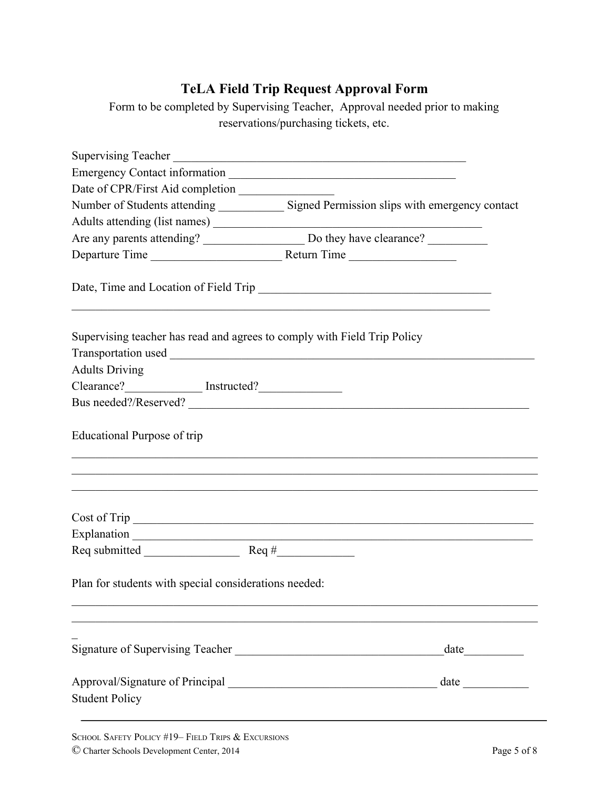# **TeLA Field Trip Request Approval Form**

Form to be completed by Supervising Teacher, Approval needed prior to making reservations/purchasing tickets, etc.

|                                                       | Supervising Teacher                                                                        |
|-------------------------------------------------------|--------------------------------------------------------------------------------------------|
|                                                       |                                                                                            |
|                                                       |                                                                                            |
|                                                       | Number of Students attending ______________ Signed Permission slips with emergency contact |
|                                                       |                                                                                            |
|                                                       |                                                                                            |
|                                                       |                                                                                            |
|                                                       |                                                                                            |
|                                                       | Supervising teacher has read and agrees to comply with Field Trip Policy                   |
| <b>Adults Driving</b>                                 |                                                                                            |
|                                                       |                                                                                            |
|                                                       |                                                                                            |
| Educational Purpose of trip                           |                                                                                            |
|                                                       | ,我们也不能在这里的人,我们也不能在这里的人,我们也不能在这里的人,我们也不能在这里的人,我们也不能在这里的人,我们也不能在这里的人,我们也不能在这里的人,我们也          |
|                                                       |                                                                                            |
|                                                       |                                                                                            |
|                                                       |                                                                                            |
| Plan for students with special considerations needed: |                                                                                            |
|                                                       | Signature of Supervising Teacher<br>date                                                   |
|                                                       |                                                                                            |
| <b>Student Policy</b>                                 |                                                                                            |
|                                                       |                                                                                            |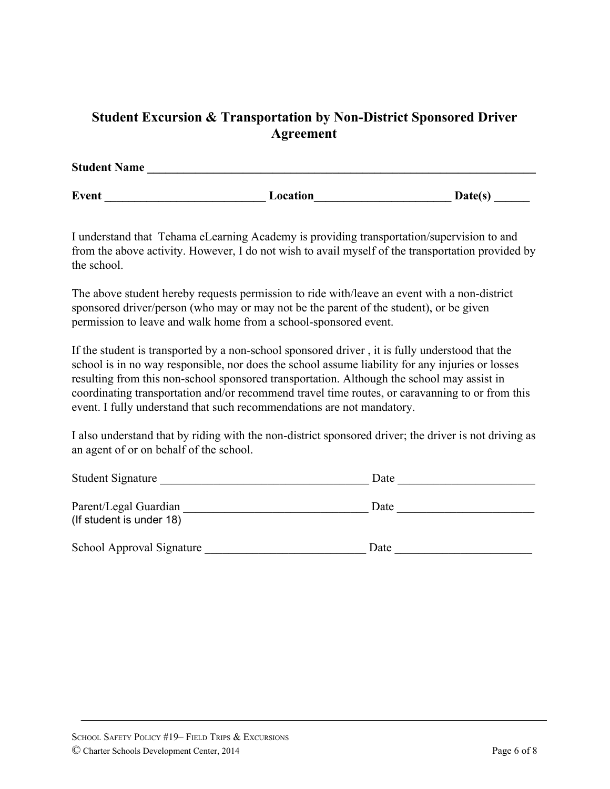# **Student Excursion & Transportation by Non-District Sponsored Driver Agreement**

| <b>Student Name</b> |          |         |  |
|---------------------|----------|---------|--|
|                     |          |         |  |
| <b>Event</b>        | Location | Date(s) |  |

I understand that Tehama eLearning Academy is providing transportation/supervision to and from the above activity. However, I do not wish to avail myself of the transportation provided by the school.

The above student hereby requests permission to ride with/leave an event with a non-district sponsored driver/person (who may or may not be the parent of the student), or be given permission to leave and walk home from a school-sponsored event.

If the student is transported by a non-school sponsored driver , it is fully understood that the school is in no way responsible, nor does the school assume liability for any injuries or losses resulting from this non-school sponsored transportation. Although the school may assist in coordinating transportation and/or recommend travel time routes, or caravanning to or from this event. I fully understand that such recommendations are not mandatory.

I also understand that by riding with the non-district sponsored driver; the driver is not driving as an agent of or on behalf of the school.

| <b>Student Signature</b>                          | Date |  |
|---------------------------------------------------|------|--|
| Parent/Legal Guardian<br>(If student is under 18) | Date |  |
| School Approval Signature                         | Date |  |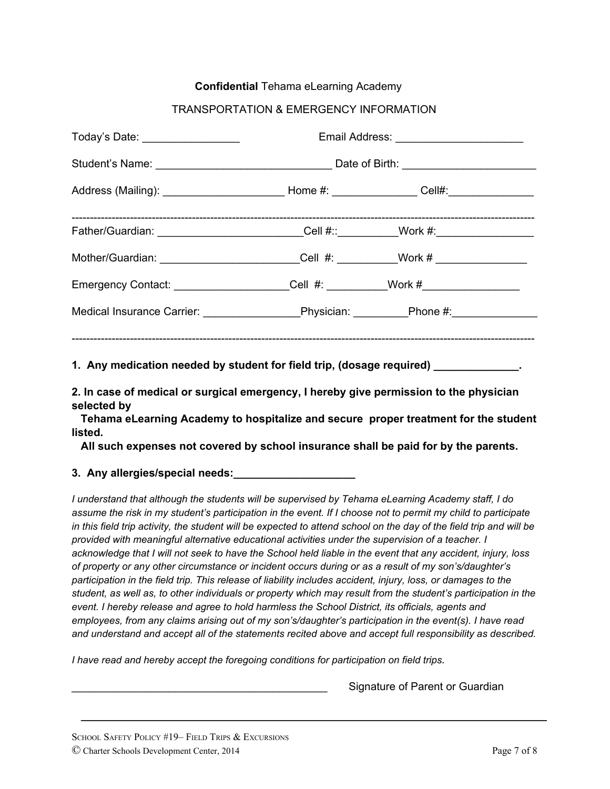#### **Confidential** Tehama eLearning Academy

#### TRANSPORTATION & EMERGENCY INFORMATION

| Today's Date: ____________________                                                                   | Email Address: ____________________________ |  |  |
|------------------------------------------------------------------------------------------------------|---------------------------------------------|--|--|
|                                                                                                      |                                             |  |  |
| Address (Mailing): ________________________________Home #: ___________________Cell#:________________ |                                             |  |  |
| Father/Guardian: ____________________________Cell #::__________Work #:___________                    |                                             |  |  |
| Mother/Guardian: ___________________________Cell #: __________Work # ___________                     |                                             |  |  |
| Emergency Contact: _____________________Cell #: __________Work #________________                     |                                             |  |  |
|                                                                                                      |                                             |  |  |
|                                                                                                      |                                             |  |  |
| 1. Any medication needed by student for field trip, (dosage required) ____________.                  |                                             |  |  |

**2. In case of medical or surgical emergency, I hereby give permission to the physician selected by**

**Tehama eLearning Academy to hospitalize and secure proper treatment for the student listed.**

**All such expenses not covered by school insurance shall be paid for by the parents.**

**3. Any allergies/special needs:\_\_\_\_\_\_\_\_\_\_\_\_\_\_\_\_\_\_\_\_**

*I understand that although the students will be supervised by Tehama eLearning Academy staff, I do* assume the risk in my student's participation in the event. If I choose not to permit my child to participate in this field trip activity, the student will be expected to attend school on the day of the field trip and will be *provided with meaningful alternative educational activities under the supervision of a teacher. I* acknowledge that I will not seek to have the School held liable in the event that any accident, injury, loss *of property or any other circumstance or incident occurs during or as a result of my son's/daughter's* participation in the field trip. This release of liability includes accident, injury, loss, or damages to the student, as well as, to other individuals or property which may result from the student's participation in the *event. I hereby release and agree to hold harmless the School District, its officials, agents and employees, from any claims arising out of my son's/daughter's participation in the event(s). I have read and understand and accept all of the statements recited above and accept full responsibility as described.*

*I have read and hereby accept the foregoing conditions for participation on field trips.*

Signature of Parent or Guardian

SCHOOL SAFETY POLICY #19– FIELD TRIPS & EXCURSIONS © Charter Schools Development Center, 2014 Page 7 of 8